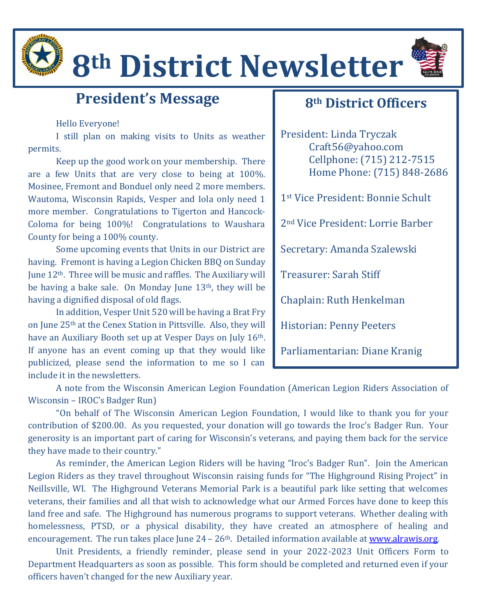

# **8th District Newsletter**



## **President's Message**

#### Hello Everyone!

I still plan on making visits to Units as weather permits.

Keep up the good work on your membership. There are a few Units that are very close to being at 100%. Mosinee, Fremont and Bonduel only need 2 more members. Wautoma, Wisconsin Rapids, Vesper and Iola only need 1 more member. Congratulations to Tigerton and Hancock-Coloma for being 100%! Congratulations to Waushara County for being a 100% county.

Some upcoming events that Units in our District are having. Fremont is having a Legion Chicken BBQ on Sunday June 12th. Three will be music and raffles. The Auxiliary will be having a bake sale. On Monday June 13<sup>th</sup>, they will be having a dignified disposal of old flags.

In addition, Vesper Unit 520 will be having a Brat Fry on June 25th at the Cenex Station in Pittsville. Also, they will have an Auxiliary Booth set up at Vesper Days on July 16<sup>th</sup>. If anyone has an event coming up that they would like publicized, please send the information to me so I can include it in the newsletters.

#### **8th District Officers**

President: Linda Tryczak Craft56@yahoo.com Cellphone: (715) 212-7515 Home Phone: (715) 848-2686 1st Vice President: Bonnie Schult 2nd Vice President: Lorrie Barber Secretary: Amanda Szalewski Treasurer: Sarah Stiff Chaplain: Ruth Henkelman Historian: Penny Peeters Parliamentarian: Diane Kranig

A note from the Wisconsin American Legion Foundation (American Legion Riders Association of Wisconsin – IROC's Badger Run)

"On behalf of The Wisconsin American Legion Foundation, I would like to thank you for your contribution of \$200.00. As you requested, your donation will go towards the Iroc's Badger Run. Your generosity is an important part of caring for Wisconsin's veterans, and paying them back for the service they have made to their country."

As reminder, the American Legion Riders will be having "Iroc's Badger Run". Join the American Legion Riders as they travel throughout Wisconsin raising funds for "The Highground Rising Project" in Neillsville, WI. The Highground Veterans Memorial Park is a beautiful park like setting that welcomes veterans, their families and all that wish to acknowledge what our Armed Forces have done to keep this land free and safe. The Highground has numerous programs to support veterans. Whether dealing with homelessness, PTSD, or a physical disability, they have created an atmosphere of healing and encouragement. The run takes place June  $24 - 26$ <sup>th</sup>. Detailed information available at *www.alrawis.org.* 

Unit Presidents, a friendly reminder, please send in your 2022-2023 Unit Officers Form to Department Headquarters as soon as possible. This form should be completed and returned even if your officers haven't changed for the new Auxiliary year.